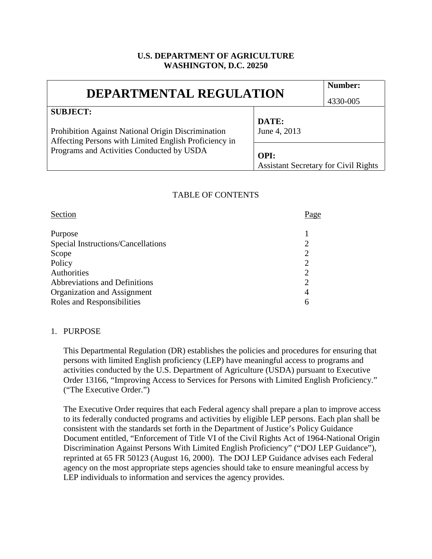### **U.S. DEPARTMENT OF AGRICULTURE WASHINGTON, D.C. 20250**

| <b>DEPARTMENTAL REGULATION</b>                                                                                                                                              |                                                     | Number:  |
|-----------------------------------------------------------------------------------------------------------------------------------------------------------------------------|-----------------------------------------------------|----------|
|                                                                                                                                                                             |                                                     | 4330-005 |
| <b>SUBJECT:</b><br>Prohibition Against National Origin Discrimination<br>Affecting Persons with Limited English Proficiency in<br>Programs and Activities Conducted by USDA | DATE:<br>June 4, 2013                               |          |
|                                                                                                                                                                             | OPI:<br><b>Assistant Secretary for Civil Rights</b> |          |

### TABLE OF CONTENTS

| Section                            | Page           |
|------------------------------------|----------------|
| Purpose                            |                |
| Special Instructions/Cancellations | $\overline{2}$ |
| Scope                              |                |
| Policy                             | ာ              |
| Authorities                        | 2              |
| Abbreviations and Definitions      |                |
| Organization and Assignment        | $\overline{4}$ |
| Roles and Responsibilities         | 6              |

#### 1. PURPOSE

This Departmental Regulation (DR) establishes the policies and procedures for ensuring that persons with limited English proficiency (LEP) have meaningful access to programs and activities conducted by the U.S. Department of Agriculture (USDA) pursuant to Executive Order 13166, "Improving Access to Services for Persons with Limited English Proficiency." ("The Executive Order.")

The Executive Order requires that each Federal agency shall prepare a plan to improve access to its federally conducted programs and activities by eligible LEP persons. Each plan shall be consistent with the standards set forth in the Department of Justice's Policy Guidance Document entitled, "Enforcement of Title VI of the Civil Rights Act of 1964-National Origin Discrimination Against Persons With Limited English Proficiency" ("DOJ LEP Guidance"), reprinted at 65 FR 50123 (August 16, 2000). The DOJ LEP Guidance advises each Federal agency on the most appropriate steps agencies should take to ensure meaningful access by LEP individuals to information and services the agency provides.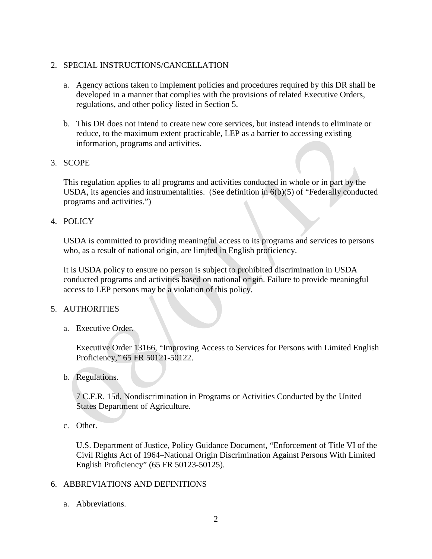# 2. SPECIAL INSTRUCTIONS/CANCELLATION

- a. Agency actions taken to implement policies and procedures required by this DR shall be developed in a manner that complies with the provisions of related Executive Orders, regulations, and other policy listed in Section 5.
- b. This DR does not intend to create new core services, but instead intends to eliminate or reduce, to the maximum extent practicable, LEP as a barrier to accessing existing information, programs and activities.

# 3. SCOPE

This regulation applies to all programs and activities conducted in whole or in part by the USDA, its agencies and instrumentalities. (See definition in 6(b)(5) of "Federally conducted programs and activities.")

### 4. POLICY

USDA is committed to providing meaningful access to its programs and services to persons who, as a result of national origin, are limited in English proficiency.

It is USDA policy to ensure no person is subject to prohibited discrimination in USDA conducted programs and activities based on national origin. Failure to provide meaningful access to LEP persons may be a violation of this policy.

#### 5. AUTHORITIES

a. Executive Order.

Executive Order 13166, "Improving Access to Services for Persons with Limited English Proficiency," 65 FR 50121-50122.

b. Regulations.

7 C.F.R. 15d, Nondiscrimination in Programs or Activities Conducted by the United States Department of Agriculture.

c. Other.

U.S. Department of Justice, Policy Guidance Document, "Enforcement of Title VI of the Civil Rights Act of 1964–National Origin Discrimination Against Persons With Limited English Proficiency" (65 FR 50123-50125).

# 6. ABBREVIATIONS AND DEFINITIONS

a. Abbreviations.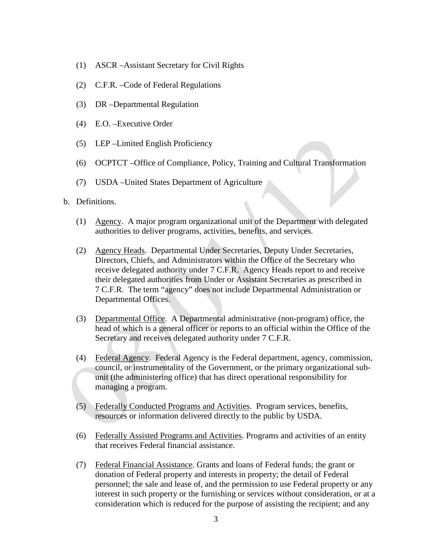- (1) ASCR –Assistant Secretary for Civil Rights
- (2) C.F.R. –Code of Federal Regulations
- (3) DR –Departmental Regulation
- (4) E.O. –Executive Order
- (5) LEP –Limited English Proficiency
- (6) OCPTCT –Office of Compliance, Policy, Training and Cultural Transformation
- (7) USDA –United States Department of Agriculture
- b. Definitions.
	- (1) Agency. A major program organizational unit of the Department with delegated authorities to deliver programs, activities, benefits, and services.
	- (2) Agency Heads. Departmental Under Secretaries, Deputy Under Secretaries, Directors, Chiefs, and Administrators within the Office of the Secretary who receive delegated authority under 7 C.F.R. Agency Heads report to and receive their delegated authorities from Under or Assistant Secretaries as prescribed in 7 C.F.R. The term "agency" does not include Departmental Administration or Departmental Offices.
	- (3) Departmental Office. A Departmental administrative (non-program) office, the head of which is a general officer or reports to an official within the Office of the Secretary and receives delegated authority under 7 C.F.R.
	- (4) Federal Agency. Federal Agency is the Federal department, agency, commission, council, or instrumentality of the Government, or the primary organizational subunit (the administering office) that has direct operational responsibility for managing a program.
	- (5) Federally Conducted Programs and Activities. Program services, benefits, resources or information delivered directly to the public by USDA.
	- (6) Federally Assisted Programs and Activities. Programs and activities of an entity that receives Federal financial assistance.
	- (7) Federal Financial Assistance. Grants and loans of Federal funds; the grant or donation of Federal property and interests in property; the detail of Federal personnel; the sale and lease of, and the permission to use Federal property or any interest in such property or the furnishing or services without consideration, or at a consideration which is reduced for the purpose of assisting the recipient; and any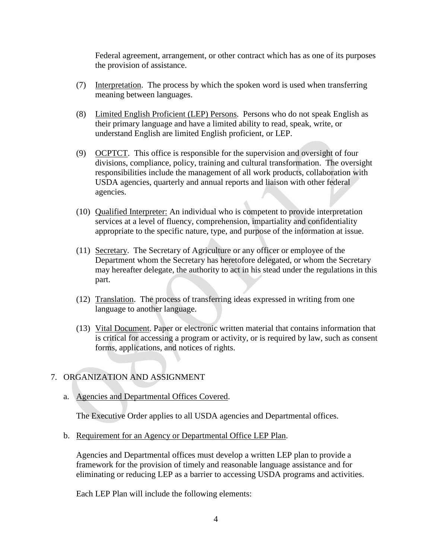Federal agreement, arrangement, or other contract which has as one of its purposes the provision of assistance.

- (7) Interpretation. The process by which the spoken word is used when transferring meaning between languages.
- (8) Limited English Proficient (LEP) Persons. Persons who do not speak English as their primary language and have a limited ability to read, speak, write, or understand English are limited English proficient, or LEP.
- (9) OCPTCT. This office is responsible for the supervision and oversight of four divisions, compliance, policy, training and cultural transformation. The oversight responsibilities include the management of all work products, collaboration with USDA agencies, quarterly and annual reports and liaison with other federal agencies.
- (10) Qualified Interpreter: An individual who is competent to provide interpretation services at a level of fluency, comprehension, impartiality and confidentiality appropriate to the specific nature, type, and purpose of the information at issue.
- (11) Secretary. The Secretary of Agriculture or any officer or employee of the Department whom the Secretary has heretofore delegated, or whom the Secretary may hereafter delegate, the authority to act in his stead under the regulations in this part.
- (12) Translation. The process of transferring ideas expressed in writing from one language to another language.
- (13) Vital Document. Paper or electronic written material that contains information that is critical for accessing a program or activity, or is required by law, such as consent forms, applications, and notices of rights.

# 7. ORGANIZATION AND ASSIGNMENT

a. Agencies and Departmental Offices Covered.

The Executive Order applies to all USDA agencies and Departmental offices.

b. Requirement for an Agency or Departmental Office LEP Plan.

Agencies and Departmental offices must develop a written LEP plan to provide a framework for the provision of timely and reasonable language assistance and for eliminating or reducing LEP as a barrier to accessing USDA programs and activities.

Each LEP Plan will include the following elements: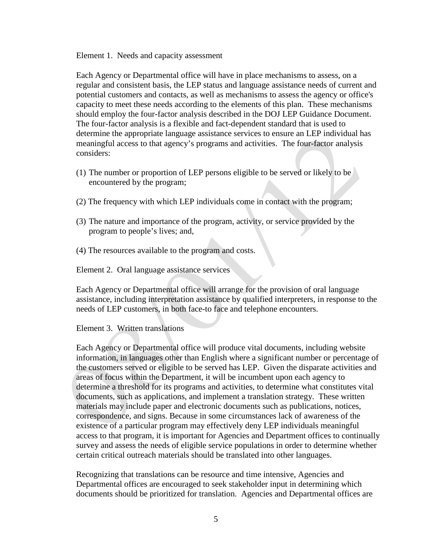Element 1. Needs and capacity assessment

Each Agency or Departmental office will have in place mechanisms to assess, on a regular and consistent basis, the LEP status and language assistance needs of current and potential customers and contacts, as well as mechanisms to assess the agency or office's capacity to meet these needs according to the elements of this plan. These mechanisms should employ the four-factor analysis described in the DOJ LEP Guidance Document. The four-factor analysis is a flexible and fact-dependent standard that is used to determine the appropriate language assistance services to ensure an LEP individual has meaningful access to that agency's programs and activities. The four-factor analysis considers:

- (1) The number or proportion of LEP persons eligible to be served or likely to be encountered by the program;
- (2) The frequency with which LEP individuals come in contact with the program;
- (3) The nature and importance of the program, activity, or service provided by the program to people's lives; and,
- (4) The resources available to the program and costs.

Element 2. Oral language assistance services

Each Agency or Departmental office will arrange for the provision of oral language assistance, including interpretation assistance by qualified interpreters, in response to the needs of LEP customers, in both face-to face and telephone encounters.

Element 3. Written translations

Each Agency or Departmental office will produce vital documents, including website information, in languages other than English where a significant number or percentage of the customers served or eligible to be served has LEP. Given the disparate activities and areas of focus within the Department, it will be incumbent upon each agency to determine a threshold for its programs and activities, to determine what constitutes vital documents, such as applications, and implement a translation strategy. These written materials may include paper and electronic documents such as publications, notices, correspondence, and signs. Because in some circumstances lack of awareness of the existence of a particular program may effectively deny LEP individuals meaningful access to that program, it is important for Agencies and Department offices to continually survey and assess the needs of eligible service populations in order to determine whether certain critical outreach materials should be translated into other languages.

Recognizing that translations can be resource and time intensive, Agencies and Departmental offices are encouraged to seek stakeholder input in determining which documents should be prioritized for translation. Agencies and Departmental offices are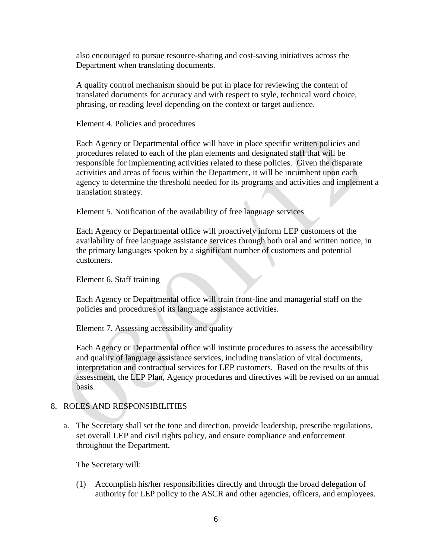also encouraged to pursue resource-sharing and cost-saving initiatives across the Department when translating documents.

A quality control mechanism should be put in place for reviewing the content of translated documents for accuracy and with respect to style, technical word choice, phrasing, or reading level depending on the context or target audience.

Element 4. Policies and procedures

Each Agency or Departmental office will have in place specific written policies and procedures related to each of the plan elements and designated staff that will be responsible for implementing activities related to these policies. Given the disparate activities and areas of focus within the Department, it will be incumbent upon each agency to determine the threshold needed for its programs and activities and implement a translation strategy.

Element 5. Notification of the availability of free language services

Each Agency or Departmental office will proactively inform LEP customers of the availability of free language assistance services through both oral and written notice, in the primary languages spoken by a significant number of customers and potential customers.

Element 6. Staff training

Each Agency or Departmental office will train front-line and managerial staff on the policies and procedures of its language assistance activities.

Element 7. Assessing accessibility and quality

Each Agency or Departmental office will institute procedures to assess the accessibility and quality of language assistance services, including translation of vital documents, interpretation and contractual services for LEP customers. Based on the results of this assessment, the LEP Plan, Agency procedures and directives will be revised on an annual basis.

#### 8. ROLES AND RESPONSIBILITIES

a. The Secretary shall set the tone and direction, provide leadership, prescribe regulations, set overall LEP and civil rights policy, and ensure compliance and enforcement throughout the Department.

The Secretary will:

(1) Accomplish his/her responsibilities directly and through the broad delegation of authority for LEP policy to the ASCR and other agencies, officers, and employees.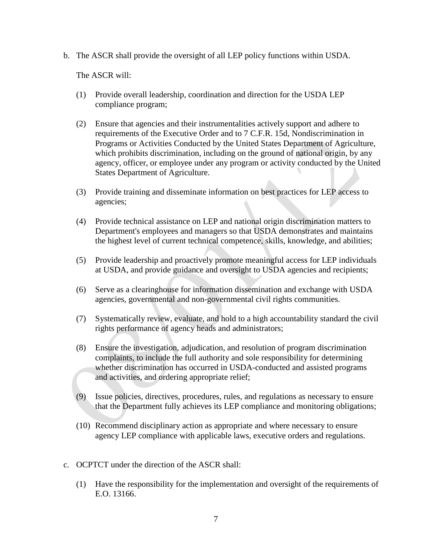b. The ASCR shall provide the oversight of all LEP policy functions within USDA.

The ASCR will:

- (1) Provide overall leadership, coordination and direction for the USDA LEP compliance program;
- (2) Ensure that agencies and their instrumentalities actively support and adhere to requirements of the Executive Order and to 7 C.F.R. 15d, Nondiscrimination in Programs or Activities Conducted by the United States Department of Agriculture, which prohibits discrimination, including on the ground of national origin, by any agency, officer, or employee under any program or activity conducted by the United States Department of Agriculture.
- (3) Provide training and disseminate information on best practices for LEP access to agencies;
- (4) Provide technical assistance on LEP and national origin discrimination matters to Department's employees and managers so that USDA demonstrates and maintains the highest level of current technical competence, skills, knowledge, and abilities;
- (5) Provide leadership and proactively promote meaningful access for LEP individuals at USDA, and provide guidance and oversight to USDA agencies and recipients;
- (6) Serve as a clearinghouse for information dissemination and exchange with USDA agencies, governmental and non-governmental civil rights communities.
- (7) Systematically review, evaluate, and hold to a high accountability standard the civil rights performance of agency heads and administrators;
- (8) Ensure the investigation, adjudication, and resolution of program discrimination complaints, to include the full authority and sole responsibility for determining whether discrimination has occurred in USDA-conducted and assisted programs and activities, and ordering appropriate relief;
- (9) Issue policies, directives, procedures, rules, and regulations as necessary to ensure that the Department fully achieves its LEP compliance and monitoring obligations;
- (10) Recommend disciplinary action as appropriate and where necessary to ensure agency LEP compliance with applicable laws, executive orders and regulations.
- c. OCPTCT under the direction of the ASCR shall:
	- (1) Have the responsibility for the implementation and oversight of the requirements of E.O. 13166.